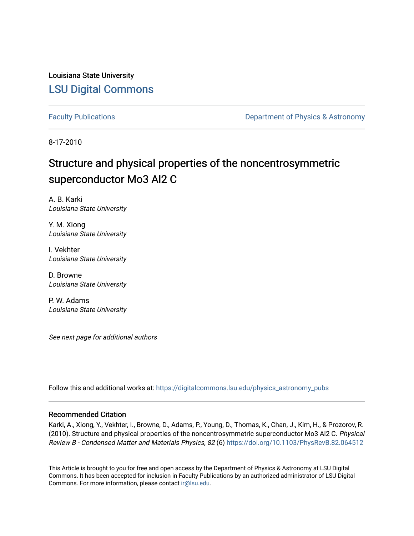Louisiana State University [LSU Digital Commons](https://digitalcommons.lsu.edu/)

[Faculty Publications](https://digitalcommons.lsu.edu/physics_astronomy_pubs) **Exercise 2 and Table 2 and Table 2 and Table 2 and Table 2 and Table 2 and Table 2 and Table 2 and Table 2 and Table 2 and Table 2 and Table 2 and Table 2 and Table 2 and Table 2 and Table 2 and Table** 

8-17-2010

# Structure and physical properties of the noncentrosymmetric superconductor Mo3 Al2 C

A. B. Karki Louisiana State University

Y. M. Xiong Louisiana State University

I. Vekhter Louisiana State University

D. Browne Louisiana State University

P. W. Adams Louisiana State University

See next page for additional authors

Follow this and additional works at: [https://digitalcommons.lsu.edu/physics\\_astronomy\\_pubs](https://digitalcommons.lsu.edu/physics_astronomy_pubs?utm_source=digitalcommons.lsu.edu%2Fphysics_astronomy_pubs%2F88&utm_medium=PDF&utm_campaign=PDFCoverPages) 

## Recommended Citation

Karki, A., Xiong, Y., Vekhter, I., Browne, D., Adams, P., Young, D., Thomas, K., Chan, J., Kim, H., & Prozorov, R. (2010). Structure and physical properties of the noncentrosymmetric superconductor Mo3 Al2 C. Physical Review B - Condensed Matter and Materials Physics, 82 (6)<https://doi.org/10.1103/PhysRevB.82.064512>

This Article is brought to you for free and open access by the Department of Physics & Astronomy at LSU Digital Commons. It has been accepted for inclusion in Faculty Publications by an authorized administrator of LSU Digital Commons. For more information, please contact [ir@lsu.edu](mailto:ir@lsu.edu).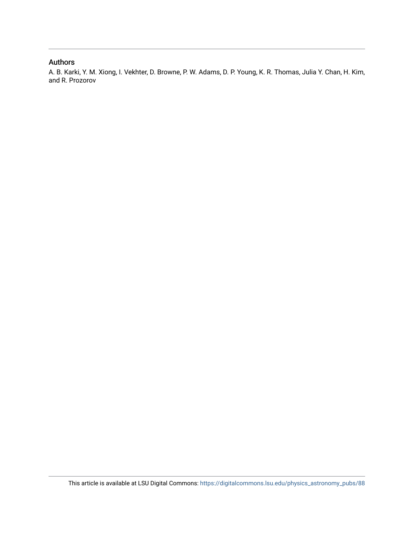# Authors

A. B. Karki, Y. M. Xiong, I. Vekhter, D. Browne, P. W. Adams, D. P. Young, K. R. Thomas, Julia Y. Chan, H. Kim, and R. Prozorov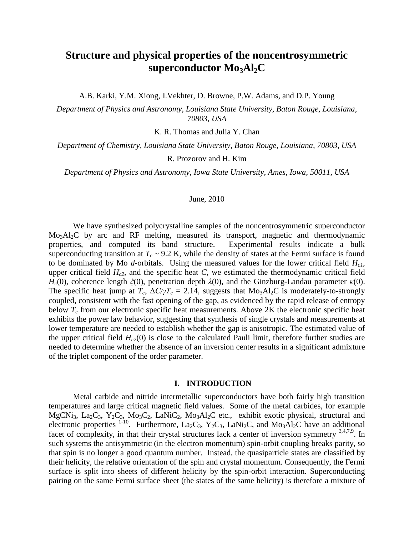# **Structure and physical properties of the noncentrosymmetric superconductor Mo3Al2C**

A.B. Karki, Y.M. Xiong, I.Vekhter, D. Browne, P.W. Adams, and D.P. Young

*Department of Physics and Astronomy, Louisiana State University, Baton Rouge, Louisiana, 70803, USA*

K. R. Thomas and Julia Y. Chan

*Department of Chemistry, Louisiana State University, Baton Rouge, Louisiana, 70803, USA*

R. Prozorov and H. Kim

*Department of Physics and Astronomy, Iowa State University, Ames, Iowa, 50011, USA*

## June, 2010

We have synthesized polycrystalline samples of the noncentrosymmetric superconductor Mo<sub>3</sub>Al<sub>2</sub>C by arc and RF melting, measured its transport, magnetic and thermodynamic properties, and computed its band structure. Experimental results indicate a bulk superconducting transition at  $T_c \sim 9.2$  K, while the density of states at the Fermi surface is found to be dominated by Mo *d*-orbitals. Using the measured values for the lower critical field *Hc1*, upper critical field  $H_c$ <sup>2</sup>, and the specific heat *C*, we estimated the thermodynamic critical field *Hc*(0), coherence length *ξ*(0), penetration depth *λ*(0), and the Ginzburg-Landau parameter *κ*(0). The specific heat jump at  $T_c$ ,  $\Delta C/\gamma T_c = 2.14$ , suggests that Mo<sub>3</sub>Al<sub>2</sub>C is moderately-to-strongly coupled, consistent with the fast opening of the gap, as evidenced by the rapid release of entropy below  $T_c$  from our electronic specific heat measurements. Above  $2K$  the electronic specific heat exhibits the power law behavior, suggesting that synthesis of single crystals and measurements at lower temperature are needed to establish whether the gap is anisotropic. The estimated value of the upper critical field  $H_{c2}(0)$  is close to the calculated Pauli limit, therefore further studies are needed to determine whether the absence of an inversion center results in a significant admixture of the triplet component of the order parameter.

# **I. INTRODUCTION**

Metal carbide and nitride intermetallic superconductors have both fairly high transition temperatures and large critical magnetic field values. Some of the metal carbides, for example MgCNi<sub>3</sub>, La<sub>2</sub>C<sub>3</sub>, Y<sub>2</sub>C<sub>3</sub>, Mo<sub>3</sub>C<sub>2</sub>, LaNiC<sub>2</sub>, Mo<sub>3</sub>Al<sub>2</sub>C etc., exhibit exotic physical, structural and electronic properties <sup>1-10</sup>. Furthermore, La<sub>2</sub>C<sub>3</sub>, Y<sub>2</sub>C<sub>3</sub>, LaNi<sub>2</sub>C, and Mo<sub>3</sub>Al<sub>2</sub>C have an additional facet of complexity, in that their crystal structures lack a center of inversion symmetry 3,4,7,9. In such systems the antisymmetric (in the electron momentum) spin-orbit coupling breaks parity, so that spin is no longer a good quantum number. Instead, the quasiparticle states are classified by their helicity, the relative orientation of the spin and crystal momentum. Consequently, the Fermi surface is split into sheets of different helicity by the spin-orbit interaction. Superconducting pairing on the same Fermi surface sheet (the states of the same helicity) is therefore a mixture of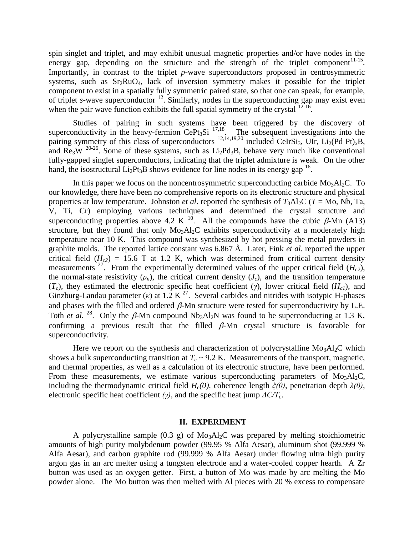spin singlet and triplet, and may exhibit unusual magnetic properties and/or have nodes in the energy gap, depending on the structure and the strength of the triplet component<sup>11-15</sup>. Importantly, in contrast to the triplet *p*-wave superconductors proposed in centrosymmetric systems, such as  $Sr<sub>2</sub>RuO<sub>4</sub>$ , lack of inversion symmetry makes it possible for the triplet component to exist in a spatially fully symmetric paired state, so that one can speak, for example, of triplet *s*-wave superconductor <sup>12</sup>. Similarly, nodes in the superconducting gap may exist even when the pair wave function exhibits the full spatial symmetry of the crystal  $12-16$ .

Studies of pairing in such systems have been triggered by the discovery of superconductivity in the heavy-fermion CePt<sub>3</sub>Si  $^{17,18}$ . The subsequent investigations into the pairing symmetry of this class of superconductors  $^{12,14,19,20}$  included CeIrSi<sub>3</sub>, UIr, Li<sub>2</sub>(Pd Pt)<sub>x</sub>B, and  $\text{Re}_3\text{W}$  <sup>20-26</sup>. Some of these systems, such as  $\text{Li}_2\text{Pd}_3\text{B}$ , behave very much like conventional fully-gapped singlet superconductors, indicating that the triplet admixture is weak. On the other hand, the isostructural  $Li_2Pt_3B$  shows evidence for line nodes in its energy gap <sup>16</sup>.

In this paper we focus on the noncentrosymmetric superconducting carbide  $Mo<sub>3</sub>Al<sub>2</sub>C$ . To our knowledge, there have been no comprehensive reports on its electronic structure and physical properties at low temperature. Johnston *et al.* reported the synthesis of  $T_3$ Al<sub>2</sub>C ( $T =$ Mo, Nb, Ta, V, Ti, Cr) employing various techniques and determined the crystal structure and superconducting properties above 4.2 K  $^{10}$ . All the compounds have the cubic  $\beta$ -Mn (A13) structure, but they found that only  $Mo<sub>3</sub>Al<sub>2</sub>C$  exhibits superconductivity at a moderately high temperature near 10 K. This compound was synthesized by hot pressing the metal powders in graphite molds. The reported lattice constant was 6.867 Å. Later, Fink *et al.* reported the upper critical field  $(H<sub>c2</sub>)$  = 15.6 T at 1.2 K, which was determined from critical current density measurements  $27$ . From the experimentally determined values of the upper critical field  $(H_{c2})$ , the normal-state resistivity  $(\rho_n)$ , the critical current density  $(J_c)$ , and the transition temperature (*Tc*), they estimated the electronic specific heat coefficient (*γ*), lower critical field (*Hc1*), and Ginzburg-Landau parameter ( $\kappa$ ) at 1.2 K<sup>27</sup>. Several carbides and nitrides with isotypic H-phases and phases with the filled and ordered  $\beta$ -Mn structure were tested for superconductivity by L.E. Toth *et al.* <sup>28</sup>. Only the  $\beta$ -Mn compound Nb<sub>3</sub>Al<sub>2</sub>N was found to be superconducting at 1.3 K, confirming a previous result that the filled  $\beta$ -Mn crystal structure is favorable for superconductivity.

Here we report on the synthesis and characterization of polycrystalline  $Mo_3Al_2C$  which shows a bulk superconducting transition at  $T_c \sim 9.2$  K. Measurements of the transport, magnetic, and thermal properties, as well as a calculation of its electronic structure, have been performed. From these measurements, we estimate various superconducting parameters of  $M_{03}Al_2C$ , including the thermodynamic critical field *Hc(0)*, coherence length *ξ(0)*, penetration depth *λ(0)*, electronic specific heat coefficient *(γ)*, and the specific heat jump *ΔC/Tc*.

#### **II. EXPERIMENT**

A polycrystalline sample  $(0.3 \text{ g})$  of  $\text{Mo}_3\text{Al}_2\text{C}$  was prepared by melting stoichiometric amounts of high purity molybdenum powder (99.95 % Alfa Aesar), aluminum shot (99.999 % Alfa Aesar), and carbon graphite rod (99.999 % Alfa Aesar) under flowing ultra high purity argon gas in an arc melter using a tungsten electrode and a water-cooled copper hearth. A Zr button was used as an oxygen getter. First, a button of Mo was made by arc melting the Mo powder alone. The Mo button was then melted with Al pieces with 20 % excess to compensate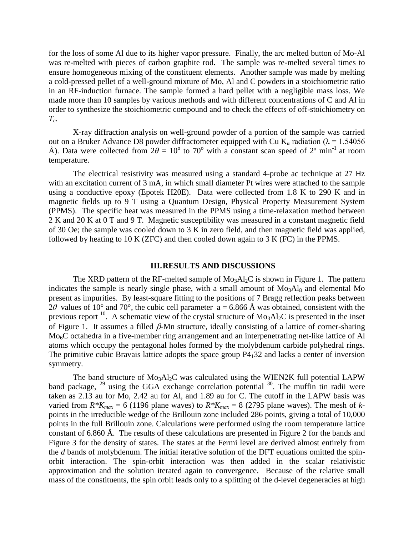for the loss of some Al due to its higher vapor pressure. Finally, the arc melted button of Mo-Al was re-melted with pieces of carbon graphite rod. The sample was re-melted several times to ensure homogeneous mixing of the constituent elements. Another sample was made by melting a cold-pressed pellet of a well-ground mixture of Mo, Al and C powders in a stoichiometric ratio in an RF-induction furnace. The sample formed a hard pellet with a negligible mass loss. We made more than 10 samples by various methods and with different concentrations of C and Al in order to synthesize the stoichiometric compound and to check the effects of off-stoichiometry on  $T_c$ .

X-ray diffraction analysis on well-ground powder of a portion of the sample was carried out on a Bruker Advance D8 powder diffractometer equipped with Cu K<sub>a</sub> radiation ( $\lambda$  = 1.54056 Å). Data were collected from  $2\theta = 10^{\circ}$  to 70<sup>o</sup> with a constant scan speed of 2<sup>o</sup> min<sup>-1</sup> at room temperature.

The electrical resistivity was measured using a standard 4-probe ac technique at 27 Hz with an excitation current of 3 mA, in which small diameter Pt wires were attached to the sample using a conductive epoxy (Epotek H20E). Data were collected from 1.8 K to 290 K and in magnetic fields up to 9 T using a Quantum Design, Physical Property Measurement System (PPMS). The specific heat was measured in the PPMS using a time-relaxation method between 2 K and 20 K at 0 T and 9 T. Magnetic susceptibility was measured in a constant magnetic field of 30 Oe; the sample was cooled down to 3 K in zero field, and then magnetic field was applied, followed by heating to 10 K (ZFC) and then cooled down again to 3 K (FC) in the PPMS.

#### **III.RESULTS AND DISCUSSIONS**

The XRD pattern of the RF-melted sample of  $Mo<sub>3</sub>Al<sub>2</sub>C$  is shown in Figure 1. The pattern indicates the sample is nearly single phase, with a small amount of  $Mo<sub>3</sub>Al<sub>8</sub>$  and elemental Mo present as impurities. By least-square fitting to the positions of 7 Bragg reflection peaks between 2 $\theta$  values of 10° and 70°, the cubic cell parameter a = 6.866 Å was obtained, consistent with the previous report <sup>10</sup>. A schematic view of the crystal structure of  $Mo<sub>3</sub>Al<sub>2</sub>C$  is presented in the inset of Figure 1. It assumes a filled  $\beta$ -Mn structure, ideally consisting of a lattice of corner-sharing Mo<sub>6</sub>C octahedra in a five-member ring arrangement and an interpenetrating net-like lattice of Al atoms which occupy the pentagonal holes formed by the molybdenum carbide polyhedral rings. The primitive cubic Bravais lattice adopts the space group  $P4<sub>1</sub>32$  and lacks a center of inversion symmetry.

The band structure of  $Mo<sub>3</sub>Al<sub>2</sub>C$  was calculated using the WIEN2K full potential LAPW band package,  $^{29}$  using the GGA exchange correlation potential  $^{30}$ . The muffin tin radii were taken as 2.13 au for Mo, 2.42 au for Al, and 1.89 au for C. The cutoff in the LAPW basis was varied from  $R*K_{max} = 6$  (1196 plane waves) to  $R*K_{max} = 8$  (2795 plane waves). The mesh of *k*points in the irreducible wedge of the Brillouin zone included 286 points, giving a total of 10,000 points in the full Brillouin zone. Calculations were performed using the room temperature lattice constant of 6.860 Å. The results of these calculations are presented in Figure 2 for the bands and Figure 3 for the density of states. The states at the Fermi level are derived almost entirely from the *d* bands of molybdenum. The initial iterative solution of the DFT equations omitted the spinorbit interaction. The spin-orbit interaction was then added in the scalar relativistic approximation and the solution iterated again to convergence. Because of the relative small mass of the constituents, the spin orbit leads only to a splitting of the d-level degeneracies at high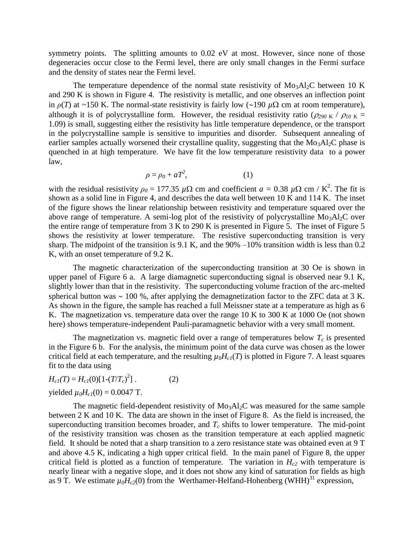symmetry points. The splitting amounts to 0.02 eV at most. However, since none of those degeneracies occur close to the Fermi level, there are only small changes in the Fermi surface and the density of states near the Fermi level.

The temperature dependence of the normal state resistivity of  $Mo<sub>3</sub>Al<sub>2</sub>C$  between 10 K and 290 K is shown in Figure 4. The resistivity is metallic, and one observes an inflection point in  $\rho(T)$  at ~150 K. The normal-state resistivity is fairly low (~190  $\mu\Omega$  cm at room temperature), although it is of polycrystalline form. However, the residual resistivity ratio ( $\rho_{290 \text{ K}}$  /  $\rho_{10 \text{ K}}$  = 1.09) is small, suggesting either the resistivity has little temperature dependence, or the transport in the polycrystalline sample is sensitive to impurities and disorder. Subsequent annealing of earlier samples actually worsened their crystalline quality, suggesting that the Mo<sub>3</sub>Al<sub>2</sub>C phase is quenched in at high temperature. We have fit the low temperature resistivity data to a power law,

$$
\rho = \rho_0 + aT^2,\tag{1}
$$

with the residual resistivity  $\rho_0 = 177.35 \mu\Omega$  cm and coefficient  $a = 0.38 \mu\Omega$  cm / K<sup>2</sup>. The fit is shown as a solid line in Figure 4, and describes the data well between 10 K and 114 K. The inset of the figure shows the linear relationship between resistivity and temperature squared over the above range of temperature. A semi-log plot of the resistivity of polycrystalline  $Mo<sub>3</sub>Al<sub>2</sub>C$  over the entire range of temperature from 3 K to 290 K is presented in Figure 5. The inset of Figure 5 shows the resistivity at lower temperature. The resistive superconducting transition is very sharp. The midpoint of the transition is 9.1 K, and the 90% –10% transition width is less than 0.2 K, with an onset temperature of 9.2 K.

The magnetic characterization of the superconducting transition at 30 Oe is shown in upper panel of Figure 6 a. A large diamagnetic superconducting signal is observed near 9.1 K, slightly lower than that in the resistivity. The superconducting volume fraction of the arc-melted spherical button was  $\sim 100$  %, after applying the demagnetization factor to the ZFC data at 3 K. As shown in the figure, the sample has reached a full Meissner state at a temperature as high as 6 K. The magnetization vs. temperature data over the range 10 K to 300 K at 1000 Oe (not shown here) shows temperature-independent Pauli-paramagnetic behavior with a very small moment.

The magnetization vs. magnetic field over a range of temperatures below  $T_c$  is presented in the Figure 6 b. For the analysis, the minimum point of the data curve was chosen as the lower critical field at each temperature, and the resulting  $\mu_0 H_c(T)$  is plotted in Figure 7. A least squares fit to the data using

*H*<sub>c1</sub>(*T*) = *H*<sub>c1</sub>(0)[1-(*T*/*T*<sub>*c*</sub>)<sup>2</sup>  $(2)$ vielded  $\mu_0 H_{c1}(0) = 0.0047$  T.

The magnetic field-dependent resistivity of  $Mo<sub>3</sub>Al<sub>2</sub>C$  was measured for the same sample between 2 K and 10 K. The data are shown in the inset of Figure 8. As the field is increased, the superconducting transition becomes broader, and  $T_c$  shifts to lower temperature. The mid-point of the resistivity transition was chosen as the transition temperature at each applied magnetic field. It should be noted that a sharp transition to a zero resistance state was obtained even at 9 T and above 4.5 K, indicating a high upper critical field. In the main panel of Figure 8, the upper critical field is plotted as a function of temperature. The variation in  $H<sub>c2</sub>$  with temperature is nearly linear with a negative slope, and it does not show any kind of saturation for fields as high as 9 T. We estimate  $\mu_0 H_{c2}(0)$  from the Werthamer-Helfand-Hohenberg (WHH)<sup>31</sup> expression,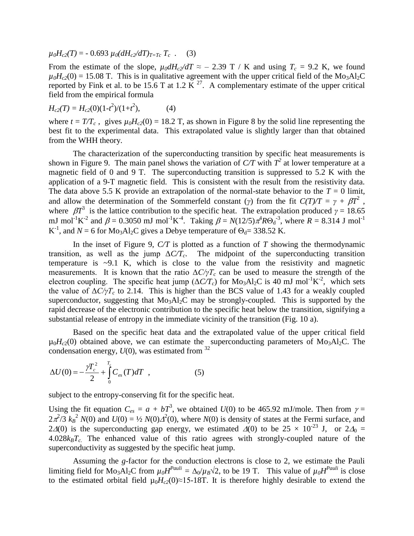$\mu_0 H_{c2}(T) = -0.693 \mu_0 (dH_c/dT)_{T=Tc} T_c$  . (3)

From the estimate of the slope,  $\mu_0 dH_c$ / $dT \approx -2.39$  T / K and using  $T_c = 9.2$  K, we found  $\mu_0H_{c2}(0) = 15.08$  T. This is in qualitative agreement with the upper critical field of the Mo<sub>3</sub>Al<sub>2</sub>C reported by Fink et al. to be 15.6 T at 1.2  $\overline{K}^{27}$ . A complementary estimate of the upper critical field from the empirical formula

$$
H_{c2}(T) = H_{c2}(0)(1-t^2)/(1+t^2), \tag{4}
$$

where  $t = T/T_c$ , gives  $\mu_0 H_{c2}(0) = 18.2$  T, as shown in Figure 8 by the solid line representing the best fit to the experimental data. This extrapolated value is slightly larger than that obtained from the WHH theory.

The characterization of the superconducting transition by specific heat measurements is shown in Figure 9. The main panel shows the variation of  $C/T$  with  $T^2$  at lower temperature at a magnetic field of 0 and 9 T. The superconducting transition is suppressed to 5.2 K with the application of a 9-T magnetic field. This is consistent with the result from the resistivity data. The data above 5.5 K provide an extrapolation of the normal-state behavior to the  $T = 0$  limit, and allow the determination of the Sommerfeld constant (*γ*) from the fit  $C(T)/T = \gamma + \beta T^2$ , where  $\beta T^3$  is the lattice contribution to the specific heat. The extrapolation produced  $\gamma = 18.65$ mJ mol<sup>-1</sup>K<sup>-2</sup> and  $\beta = 0.3050$  mJ mol<sup>-1</sup>K<sup>-4</sup>. Taking  $\beta = N(12/5)\pi^4 R\Theta_d^{-3}$ , where  $R = 8.314$  J mol<sup>-1</sup> K<sup>-1</sup>, and  $N = 6$  for Mo<sub>3</sub>Al<sub>2</sub>C gives a Debye temperature of  $\Theta_d = 338.52$  K.

In the inset of Figure 9, *C/T* is plotted as a function of *T* showing the thermodynamic transition, as well as the jump  $\Delta C/T_c$ . The midpoint of the superconducting transition temperature is  $\sim$ 9.1 K, which is close to the value from the resistivity and magnetic measurements. It is known that the ratio  $\Delta C/\gamma T_c$  can be used to measure the strength of the electron coupling. The specific heat jump  $(\Delta C/T_c)$  for Mo<sub>3</sub>Al<sub>2</sub>C is 40 mJ mol<sup>-1</sup>K<sup>-2</sup>, which sets the value of  $\Delta C/\gamma T_c$  to 2.14. This is higher than the BCS value of 1.43 for a weakly coupled superconductor, suggesting that  $Mo<sub>3</sub>Al<sub>2</sub>C$  may be strongly-coupled. This is supported by the rapid decrease of the electronic contribution to the specific heat below the transition, signifying a substantial release of entropy in the immediate vicinity of the transition (Fig. 10 a).

Based on the specific heat data and the extrapolated value of the upper critical field  $\mu_0H_{c2}(0)$  obtained above, we can estimate the superconducting parameters of Mo<sub>3</sub>Al<sub>2</sub>C. The condensation energy,  $U(0)$ , was estimated from  $32$ 

$$
\Delta U(0) = -\frac{\gamma T_c^2}{2} + \int_{0}^{T_c} C_{es}(T) dT , \qquad (5)
$$

subject to the entropy-conserving fit for the specific heat.

Using the fit equation  $C_{es} = a + bT^3$ , we obtained  $U(0)$  to be 465.92 mJ/mole. Then from  $\gamma =$  $2\pi^2/3$   $k_B^2$  *N*(0) and *U*(0) = ½ *N*(0) $\Delta^2$ (0), where *N*(0) is density of states at the Fermi surface, and 2 $\Delta(0)$  is the superconducting gap energy, we estimated  $\Delta(0)$  to be 25  $\times$  10<sup>-23</sup> J, or 2 $\Delta_0$  =  $4.028k_BT_c$ . The enhanced value of this ratio agrees with strongly-coupled nature of the superconductivity as suggested by the specific heat jump.

Assuming the *g*-factor for the conduction electrons is close to 2, we estimate the Pauli limiting field for  $Mo_3Al_2C$  from  $\mu_0H^{Pauli} = \Delta_0/\mu_B\sqrt{2}$ , to be 19 T. This value of  $\mu_0H^{Pauli}$  is close to the estimated orbital field  $\mu_0 H_{c2}(0) \approx 15{\text -}18$ . It is therefore highly desirable to extend the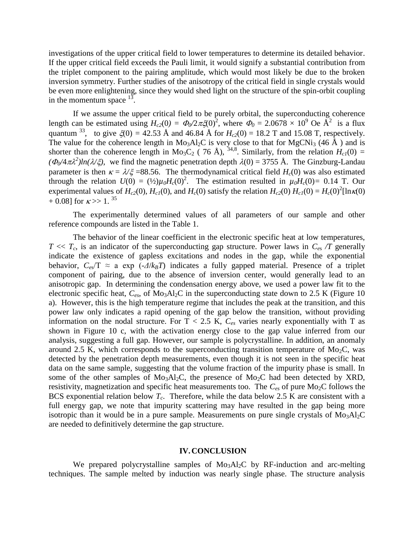investigations of the upper critical field to lower temperatures to determine its detailed behavior. If the upper critical field exceeds the Pauli limit, it would signify a substantial contribution from the triplet component to the pairing amplitude, which would most likely be due to the broken inversion symmetry. Further studies of the anisotropy of the critical field in single crystals would be even more enlightening, since they would shed light on the structure of the spin-orbit coupling in the momentum space  $13$ .

If we assume the upper critical field to be purely orbital, the superconducting coherence length can be estimated using  $H_{c2}(0) = \Phi_0/2\pi \xi(0)^2$ , where  $\Phi_0 = 2.0678 \times 10^9$  Oe  $\AA^2$  is a flux quantum <sup>33</sup>, to give  $\zeta(0) = 42.53 \text{ Å}$  and 46.84 Å for  $H_{c2}(0) = 18.2 \text{ T}$  and 15.08 T, respectively. The value for the coherence length in  $Mo<sub>3</sub>Al<sub>2</sub>C$  is very close to that for  $MgCNi<sub>3</sub>$  (46 Å) and is shorter than the coherence length in Mo<sub>3</sub>C<sub>2</sub> (76 Å), <sup>34,8</sup>. Similarly, from the relation  $H_{c1}(0) =$  $(\Phi_0/4\pi\lambda^2)ln(\lambda/\xi)$ , we find the magnetic penetration depth  $\lambda(0) = 3755$  Å. The Ginzburg-Landau parameter is then  $\kappa = \lambda/\xi = 88.56$ . The thermodynamical critical field *H<sub>c</sub>*(0) was also estimated through the relation  $U(0) = (\frac{1}{2})\mu_0 H_c(0)^2$ . The estimation resulted in  $\mu_0 H_c(0) = 0.14$  T. Our experimental values of  $H_{c2}(0)$ ,  $H_{c1}(0)$ , and  $H_c(0)$  satisfy the relation  $H_{c2}(0) H_{c1}(0) = H_c(0)^2 [\ln \kappa(0)]$  $+ 0.08$ ] for  $\kappa >> 1$ . <sup>35</sup>

The experimentally determined values of all parameters of our sample and other reference compounds are listed in the Table 1.

The behavior of the linear coefficient in the electronic specific heat at low temperatures,  $T \ll T_c$ , is an indicator of the superconducting gap structure. Power laws in  $C_{\text{es}}$  */T* generally indicate the existence of gapless excitations and nodes in the gap, while the exponential behavior,  $C_{e\gamma}/T \approx a \exp(-\Delta/k_B T)$  indicates a fully gapped material. Presence of a triplet component of pairing, due to the absence of inversion center, would generally lead to an anisotropic gap. In determining the condensation energy above, we used a power law fit to the electronic specific heat,  $C_{\text{es}}$ , of Mo<sub>3</sub>Al<sub>2</sub>C in the superconducting state down to 2.5 K (Figure 10) a). However, this is the high temperature regime that includes the peak at the transition, and this power law only indicates a rapid opening of the gap below the transition, without providing information on the nodal structure. For  $T < 2.5$  K,  $C_{es}$  varies nearly exponentially with T as shown in Figure 10 c, with the activation energy close to the gap value inferred from our analysis, suggesting a full gap. However, our sample is polycrystalline. In addition, an anomaly around 2.5 K, which corresponds to the superconducting transition temperature of Mo<sub>2</sub>C, was detected by the penetration depth measurements, even though it is not seen in the specific heat data on the same sample, suggesting that the volume fraction of the impurity phase is small. In some of the other samples of  $Mo<sub>3</sub>Al<sub>2</sub>C$ , the presence of  $Mo<sub>2</sub>C$  had been detected by XRD, resistivity, magnetization and specific heat measurements too. The  $C_{es}$  of pure Mo<sub>2</sub>C follows the BCS exponential relation below *Tc*. Therefore, while the data below 2.5 K are consistent with a full energy gap, we note that impurity scattering may have resulted in the gap being more isotropic than it would be in a pure sample. Measurements on pure single crystals of  $Mo<sub>3</sub>Al<sub>2</sub>C$ are needed to definitively determine the gap structure.

#### **IV.CONCLUSION**

We prepared polycrystalline samples of  $Mo<sub>3</sub>Al<sub>2</sub>C$  by RF-induction and arc-melting techniques. The sample melted by induction was nearly single phase. The structure analysis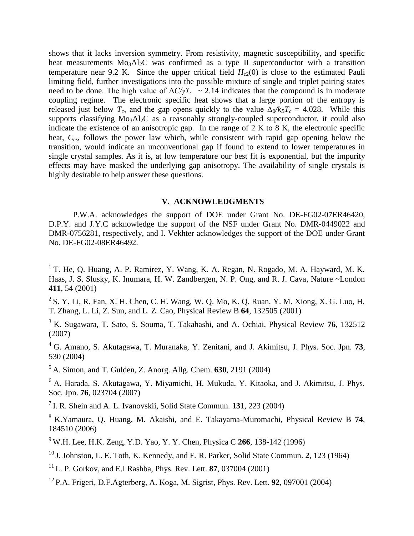shows that it lacks inversion symmetry. From resistivity, magnetic susceptibility, and specific heat measurements  $Mo<sub>3</sub>Al<sub>2</sub>C$  was confirmed as a type II superconductor with a transition temperature near 9.2 K. Since the upper critical field  $H<sub>c2</sub>(0)$  is close to the estimated Pauli limiting field, further investigations into the possible mixture of single and triplet pairing states need to be done. The high value of  $\Delta C/\gamma T_c$  ~ 2.14 indicates that the compound is in moderate coupling regime. The electronic specific heat shows that a large portion of the entropy is released just below  $T_c$ , and the gap opens quickly to the value  $\Delta_0/k_B T_c = 4.028$ . While this supports classifying  $\text{Mo}_3\text{Al}_2\text{C}$  as a reasonably strongly-coupled superconductor, it could also indicate the existence of an anisotropic gap. In the range of 2 K to 8 K, the electronic specific heat, *Ces*, follows the power law which, while consistent with rapid gap opening below the transition, would indicate an unconventional gap if found to extend to lower temperatures in single crystal samples. As it is, at low temperature our best fit is exponential, but the impurity effects may have masked the underlying gap anisotropy. The availability of single crystals is highly desirable to help answer these questions.

# **V. ACKNOWLEDGMENTS**

P.W.A. acknowledges the support of DOE under Grant No. DE-FG02-07ER46420, D.P.Y. and J.Y.C acknowledge the support of the NSF under Grant No. DMR-0449022 and DMR-0756281, respectively, and I. Vekhter acknowledges the support of the DOE under Grant No. DE-FG02-08ER46492.

<sup>1</sup> T. He, Q. Huang, A. P. Ramirez, Y. Wang, K. A. Regan, N. Rogado, M. A. Hayward, M. K. Haas, J. S. Slusky, K. Inumara, H. W. Zandbergen, N. P. Ong, and R. J. Cava, Nature ~London **411**, 54 (2001)

<sup>2</sup> S. Y. Li, R. Fan, X. H. Chen, C. H. Wang, W. Q. Mo, K. Q. Ruan, Y. M. Xiong, X. G. Luo, H. T. Zhang, L. Li, Z. Sun, and L. Z. Cao, Physical Review B **64**, 132505 (2001)

<sup>3</sup> K. Sugawara, T. Sato, S. Souma, T. Takahashi, and A. Ochiai, Physical Review **76**, 132512 (2007)

<sup>4</sup> G. Amano, S. Akutagawa, T. Muranaka, Y. Zenitani, and J. Akimitsu, J. Phys. Soc. Jpn. **73**, 530 (2004)

<sup>5</sup> A. Simon, and T. Gulden, Z. Anorg. Allg. Chem. **630**, 2191 (2004)

<sup>6</sup> A. Harada, S. Akutagawa, Y. Miyamichi, H. Mukuda, Y. Kitaoka, and J. Akimitsu, J. Phys. Soc. Jpn. **76**, 023704 (2007)

7 I. R. Shein and A. L. Ivanovskii, Solid State Commun. **131**, 223 (2004)

<sup>8</sup> K.Yamaura, Q. Huang, M. Akaishi, and E. Takayama-Muromachi, Physical Review B **74**, 184510 (2006)

<sup>9</sup> W.H. Lee, H.K. Zeng, Y.D. Yao, Y. Y. Chen, Physica C **266**, 138-142 (1996)

<sup>10</sup> J. Johnston, L. E. Toth, K. Kennedy, and E. R. Parker, Solid State Commun. **2**, 123 (1964)

<sup>11</sup> L. P. Gorkov, and E.I Rashba, Phys. Rev. Lett. **87**, 037004 (2001)

<sup>12</sup> P.A. Frigeri, D.F.Agterberg, A. Koga, M. Sigrist, Phys. Rev. Lett. **92**, 097001 (2004)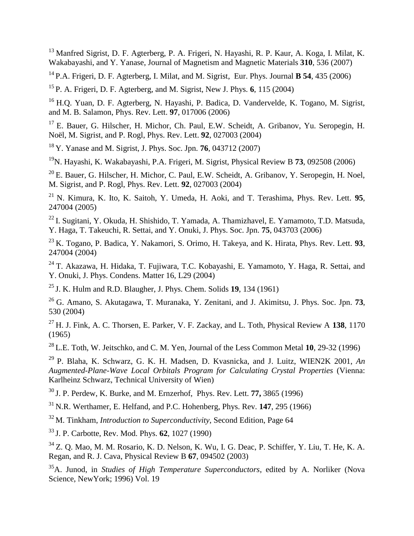<sup>13</sup> Manfred Sigrist, D. F. Agterberg, P. A. Frigeri, N. Hayashi, R. P. Kaur, A. Koga, I. Milat, K. Wakabayashi, and Y. Yanase, Journal of Magnetism and Magnetic Materials **310**, 536 (2007)

<sup>14</sup> P.A. Frigeri, D. F. Agterberg, I. Milat, and M. Sigrist, Eur. Phys. Journal **B 54**, 435 (2006)

<sup>15</sup> P. A. Frigeri, D. F. Agterberg, and M. Sigrist, New J. Phys. **6**, 115 (2004)

<sup>16</sup> H.Q. Yuan, D. F. Agterberg, N. Hayashi, P. Badica, D. Vandervelde, K. Togano, M. Sigrist, and M. B. Salamon, Phys. Rev. Lett. **97**, 017006 (2006)

<sup>17</sup> E. Bauer, G. Hilscher, H. Michor, Ch. Paul, E.W. Scheidt, A. Gribanov, Yu. Seropegin, H. Noël, M. Sigrist, and P. Rogl, Phys. Rev. Lett. **92**, 027003 (2004)

<sup>18</sup> Y. Yanase and M. Sigrist, J. Phys. Soc. Jpn. **76**, 043712 (2007)

<sup>19</sup>N. Hayashi, K. Wakabayashi, P.A. Frigeri, M. Sigrist, Physical Review B **73**, 092508 (2006)

<sup>20</sup> E. Bauer, G. Hilscher, H. Michor, C. Paul, E.W. Scheidt, A. Gribanov, Y. Seropegin, H. Noel, M. Sigrist, and P. Rogl, Phys. Rev. Lett. **92**, 027003 (2004)

<sup>21</sup> N. Kimura, K. Ito, K. Saitoh, Y. Umeda, H. Aoki, and T. Terashima, Phys. Rev. Lett. 95, 247004 (2005)

<sup>22</sup>I. Sugitani, Y. Okuda, H. Shishido, T. Yamada, A. Thamizhavel, E. Yamamoto, T.D. Matsuda, Y. Haga, T. Takeuchi, R. Settai, and Y. Onuki, J. Phys. Soc. Jpn. **75**, 043703 (2006)

<sup>23</sup>K. Togano, P. Badica, Y. Nakamori, S. Orimo, H. Takeya, and K. Hirata, Phys. Rev. Lett. **93**, 247004 (2004)

<sup>24</sup>T. Akazawa, H. Hidaka, T. Fujiwara, T.C. Kobayashi, E. Yamamoto, Y. Haga, R. Settai, and Y. Onuki, J. Phys. Condens. Matter 16, L29 (2004)

<sup>25</sup>J. K. Hulm and R.D. Blaugher, J. Phys. Chem. Solids **19**, 134 (1961)

<sup>26</sup>G. Amano, S. Akutagawa, T. Muranaka, Y. Zenitani, and J. Akimitsu, J. Phys. Soc. Jpn. **73**, 530 (2004)

<sup>27</sup>H. J. Fink, A. C. Thorsen, E. Parker, V. F. Zackay, and L. Toth, Physical Review A **138**, 1170 (1965)

<sup>28</sup>L.E. Toth, W. Jeitschko, and C. M. Yen, Journal of the Less Common Metal **10**, 29-32 (1996)

<sup>29</sup> P. Blaha, K. Schwarz, G. K. H. Madsen, D. Kvasnicka, and J. Luitz, WIEN2K 2001, *An Augmented-Plane-Wave Local Orbitals Program for Calculating Crystal Properties* (Vienna: Karlheinz Schwarz, Technical University of Wien)

<sup>30</sup>J. P. Perdew, K. Burke, and M. Ernzerhof, Phys. Rev. Lett. **77,** 3865 (1996)

<sup>31</sup>N.R. Werthamer, E. Helfand, and P.C. Hohenberg, Phys. Rev. **147**, 295 (1966)

<sup>32</sup>M. Tinkham, *Introduction to Superconductivity*, Second Edition, Page 64

<sup>33</sup>J. P. Carbotte, Rev. Mod. Phys. **62**, 1027 (1990)

<sup>34</sup>Z. Q. Mao, M. M. Rosario, K. D. Nelson, K. Wu, I. G. Deac, P. Schiffer, Y. Liu, T. He, K. A. Regan, and R. J. Cava, Physical Review B **67**, 094502 (2003)

<sup>35</sup>A. Junod, in *Studies of High Temperature Superconductors*, edited by A. Norliker (Nova Science, NewYork; 1996) Vol. 19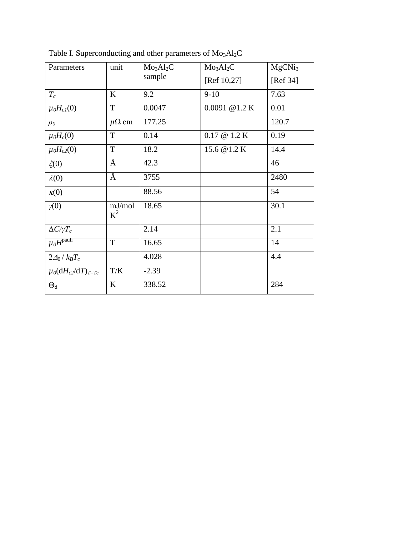| Parameters                      | unit            | Mo <sub>3</sub> Al <sub>2</sub> C | Mo <sub>3</sub> Al <sub>2</sub> C | MgCNi <sub>3</sub> |
|---------------------------------|-----------------|-----------------------------------|-----------------------------------|--------------------|
|                                 |                 | sample                            | [Ref 10,27]                       | [Ref 34]           |
| $T_c$                           | K               | 9.2                               | $9-10$                            | 7.63               |
| $\mu_0H_{cl}(0)$                | $\mathbf T$     | 0.0047                            | $0.0091 \ @ 1.2 K$                | 0.01               |
| $\rho_0$                        | $\mu\Omega$ cm  | 177.25                            |                                   | 120.7              |
| $\mu_0H_c(0)$                   | $\mathbf T$     | 0.14                              | $0.17 \ @ 1.2 K$                  | 0.19               |
| $\mu_0H_{c2}(0)$                | $\mathbf T$     | 18.2                              | 15.6 @ 1.2 K                      | 14.4               |
| $\xi(0)$                        | Å               | 42.3                              |                                   | 46                 |
| $\lambda(0)$                    | Å               | 3755                              |                                   | 2480               |
| $\kappa(0)$                     |                 | 88.56                             |                                   | 54                 |
| $\gamma(0)$                     | mJ/mol<br>$K^2$ | 18.65                             |                                   | 30.1               |
| $\Delta C/\gamma T_c$           |                 | 2.14                              |                                   | 2.1                |
| $\mu_0\overline{H^{\rm pauli}}$ | $\mathbf T$     | 16.65                             |                                   | 14                 |
| $2\Delta_0/k_BT_c$              |                 | 4.028                             |                                   | 4.4                |
| $\mu_0(dH_{c2}/dT)_{T=Tc}$      | T/K             | $-2.39$                           |                                   |                    |
| $\Theta_d$                      | $\bf K$         | 338.52                            |                                   | 284                |

Table I. Superconducting and other parameters of  $Mo<sub>3</sub>Al<sub>2</sub>C$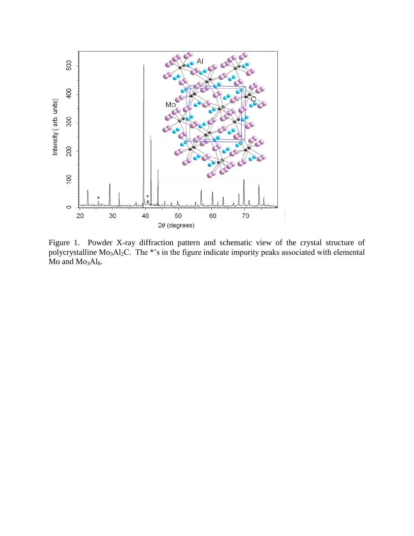

Figure 1. Powder X-ray diffraction pattern and schematic view of the crystal structure of polycrystalline  $Mo<sub>3</sub>Al<sub>2</sub>C$ . The \*'s in the figure indicate impurity peaks associated with elemental  $Mo<sub>3</sub>Al<sub>8</sub>$ .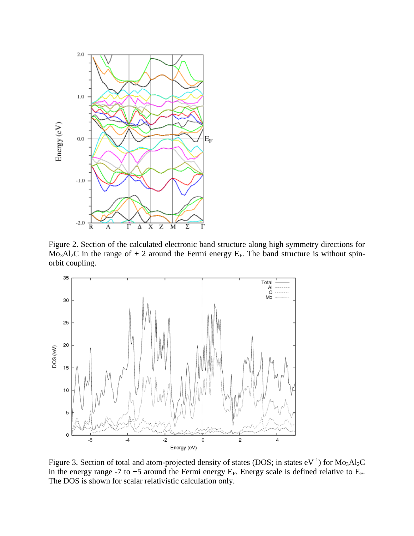

Figure 2. Section of the calculated electronic band structure along high symmetry directions for Mo<sub>3</sub>Al<sub>2</sub>C in the range of  $\pm$  2 around the Fermi energy E<sub>F</sub>. The band structure is without spinorbit coupling.



Figure 3. Section of total and atom-projected density of states (DOS; in states  $eV^{-1}$ ) for  $Mo<sub>3</sub>Al<sub>2</sub>C$ in the energy range -7 to +5 around the Fermi energy  $E_F$ . Energy scale is defined relative to  $E_F$ . The DOS is shown for scalar relativistic calculation only.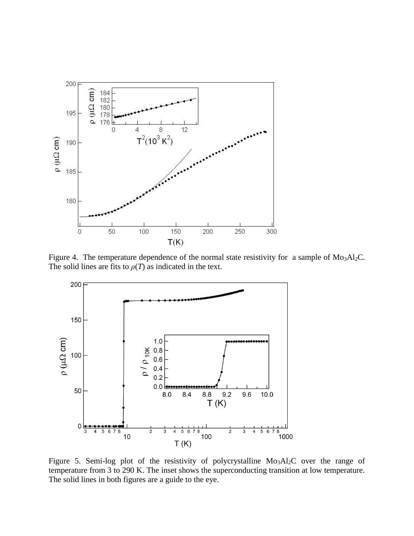

Figure 4. The temperature dependence of the normal state resistivity for a sample of  $Mo<sub>3</sub>Al<sub>2</sub>C$ . The solid lines are fits to  $\rho(T)$  as indicated in the text.



Figure 5. Semi-log plot of the resistivity of polycrystalline  $Mo<sub>3</sub>Al<sub>2</sub>C$  over the range of temperature from 3 to 290 K. The inset shows the superconducting transition at low temperature. The solid lines in both figures are a guide to the eye.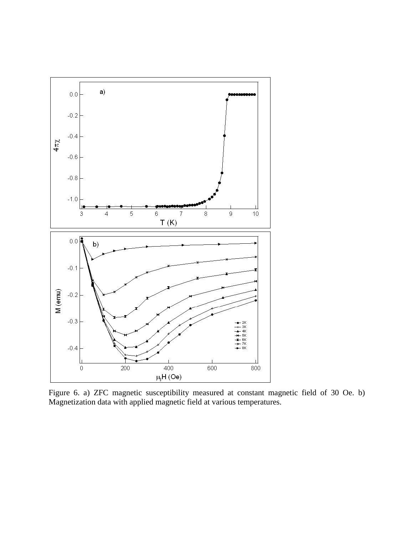

Figure 6. a) ZFC magnetic susceptibility measured at constant magnetic field of 30 Oe. b) Magnetization data with applied magnetic field at various temperatures.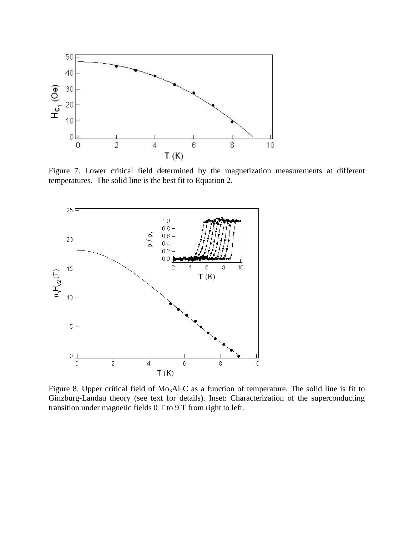

Figure 7. Lower critical field determined by the magnetization measurements at different temperatures. The solid line is the best fit to Equation 2.



Figure 8. Upper critical field of Mo<sub>3</sub>Al<sub>2</sub>C as a function of temperature. The solid line is fit to Ginzburg-Landau theory (see text for details). Inset: Characterization of the superconducting transition under magnetic fields 0 T to 9 T from right to left.